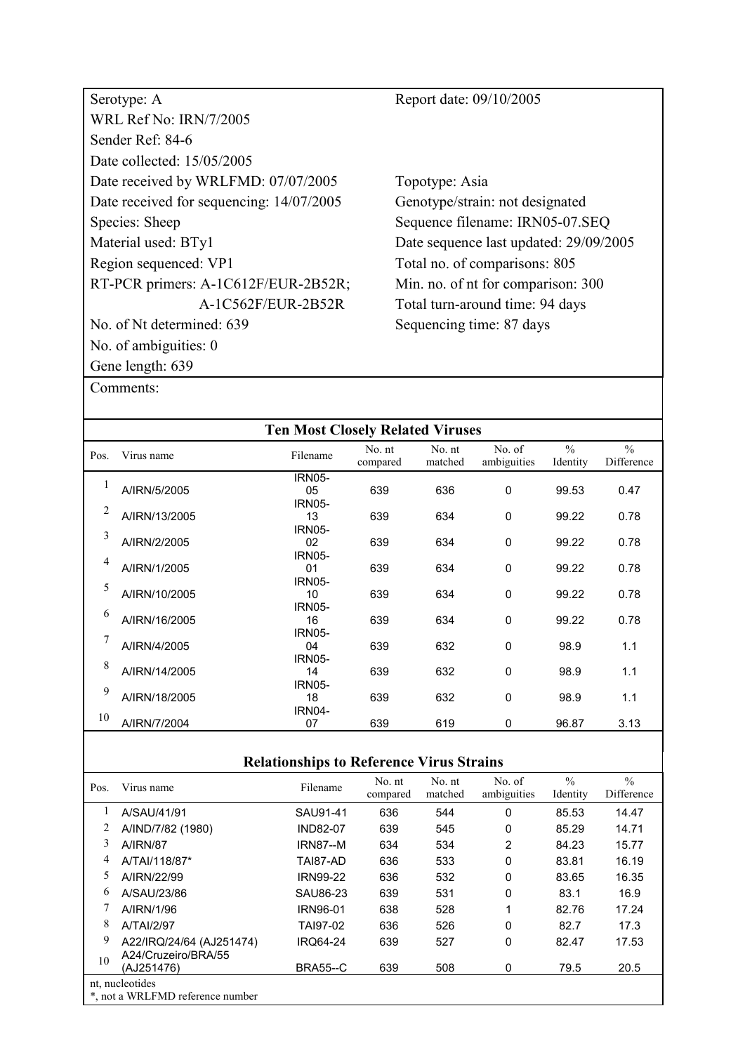| Serotype: A                              | Report date: 09/10/2005                |
|------------------------------------------|----------------------------------------|
| <b>WRL Ref No: IRN/7/2005</b>            |                                        |
| Sender Ref: 84-6                         |                                        |
| Date collected: 15/05/2005               |                                        |
| Date received by WRLFMD: 07/07/2005      | Topotype: Asia                         |
| Date received for sequencing: 14/07/2005 | Genotype/strain: not designated        |
| Species: Sheep                           | Sequence filename: IRN05-07.SEQ        |
| Material used: BTy1                      | Date sequence last updated: 29/09/2005 |
| Region sequenced: VP1                    | Total no. of comparisons: 805          |
| RT-PCR primers: A-1C612F/EUR-2B52R;      | Min. no. of nt for comparison: 300     |
| A-1C562F/EUR-2B52R                       | Total turn-around time: 94 days        |
| No. of Nt determined: 639                | Sequencing time: 87 days               |
| No. of ambiguities: $0$                  |                                        |
| Gene length: 639                         |                                        |

|      |               | <b>Ten Most Closely Related Viruses</b> |                    |                   |                       |                           |                             |
|------|---------------|-----------------------------------------|--------------------|-------------------|-----------------------|---------------------------|-----------------------------|
| Pos. | Virus name    | Filename                                | No. nt<br>compared | No. nt<br>matched | No. of<br>ambiguities | $\frac{0}{0}$<br>Identity | $\frac{0}{0}$<br>Difference |
|      |               | <b>IRN05-</b>                           |                    |                   |                       |                           |                             |
|      | A/IRN/5/2005  | 05                                      | 639                | 636               | $\mathbf 0$           | 99.53                     | 0.47                        |
| 2    |               | <b>IRN05-</b><br>13                     |                    |                   |                       |                           |                             |
|      | A/IRN/13/2005 | <b>IRN05-</b>                           | 639                | 634               | $\mathbf 0$           | 99.22                     | 0.78                        |
| 3    | A/IRN/2/2005  | 02                                      | 639                | 634               | $\mathbf 0$           | 99.22                     | 0.78                        |
|      |               | <b>IRN05-</b>                           |                    |                   |                       |                           |                             |
| 4    | A/IRN/1/2005  | 01                                      | 639                | 634               | 0                     | 99.22                     | 0.78                        |
| 5    |               | <b>IRN05-</b>                           |                    |                   |                       |                           |                             |
|      | A/IRN/10/2005 | 10                                      | 639                | 634               | 0                     | 99.22                     | 0.78                        |
| 6    | A/IRN/16/2005 | <b>IRN05-</b>                           |                    |                   |                       |                           |                             |
|      |               | 16<br><b>IRN05-</b>                     | 639                | 634               | $\mathbf 0$           | 99.22                     | 0.78                        |
| 7    | A/IRN/4/2005  | 04                                      | 639                | 632               | $\mathbf 0$           | 98.9                      | 1.1                         |
|      |               | <b>IRN05-</b>                           |                    |                   |                       |                           |                             |
| 8    | A/IRN/14/2005 | 14                                      | 639                | 632               | $\mathbf 0$           | 98.9                      | 1.1                         |
| 9    |               | <b>IRN05-</b>                           |                    |                   |                       |                           |                             |
|      | A/IRN/18/2005 | 18                                      | 639                | 632               | 0                     | 98.9                      | 1.1                         |
| 10   |               | <b>IRN04-</b>                           |                    |                   |                       |                           |                             |
|      | A/IRN/7/2004  | 07                                      | 639                | 619               | 0                     | 96.87                     | 3.13                        |

| Pos. | Virus name                        | Filename        | No. nt<br>compared | No. nt<br>matched | No. of<br>ambiguities | $\frac{0}{0}$<br>Identity | $\frac{0}{0}$<br>Difference |
|------|-----------------------------------|-----------------|--------------------|-------------------|-----------------------|---------------------------|-----------------------------|
|      | A/SAU/41/91                       | SAU91-41        | 636                | 544               | 0                     | 85.53                     | 14.47                       |
| 2    | A/IND/7/82 (1980)                 | <b>IND82-07</b> | 639                | 545               | 0                     | 85.29                     | 14.71                       |
| 3    | <b>A/IRN/87</b>                   | <b>IRN87--M</b> | 634                | 534               | 2                     | 84.23                     | 15.77                       |
| 4    | A/TAI/118/87*                     | TAI87-AD        | 636                | 533               | 0                     | 83.81                     | 16.19                       |
| 5    | A/IRN/22/99                       | <b>IRN99-22</b> | 636                | 532               | 0                     | 83.65                     | 16.35                       |
| 6    | A/SAU/23/86                       | SAU86-23        | 639                | 531               | 0                     | 83.1                      | 16.9                        |
|      | A/IRN/1/96                        | IRN96-01        | 638                | 528               | 1                     | 82.76                     | 17.24                       |
| 8    | A/TAI/2/97                        | TAI97-02        | 636                | 526               | 0                     | 82.7                      | 17.3                        |
| 9    | A22/IRQ/24/64 (AJ251474)          | <b>IRQ64-24</b> | 639                | 527               | 0                     | 82.47                     | 17.53                       |
| 10   | A24/Cruzeiro/BRA/55<br>(AJ251476) | <b>BRA55--C</b> | 639                | 508               | 0                     | 79.5                      | 20.5                        |
|      | nt, nucleotides                   |                 |                    |                   |                       |                           |                             |
|      | *, not a WRLFMD reference number  |                 |                    |                   |                       |                           |                             |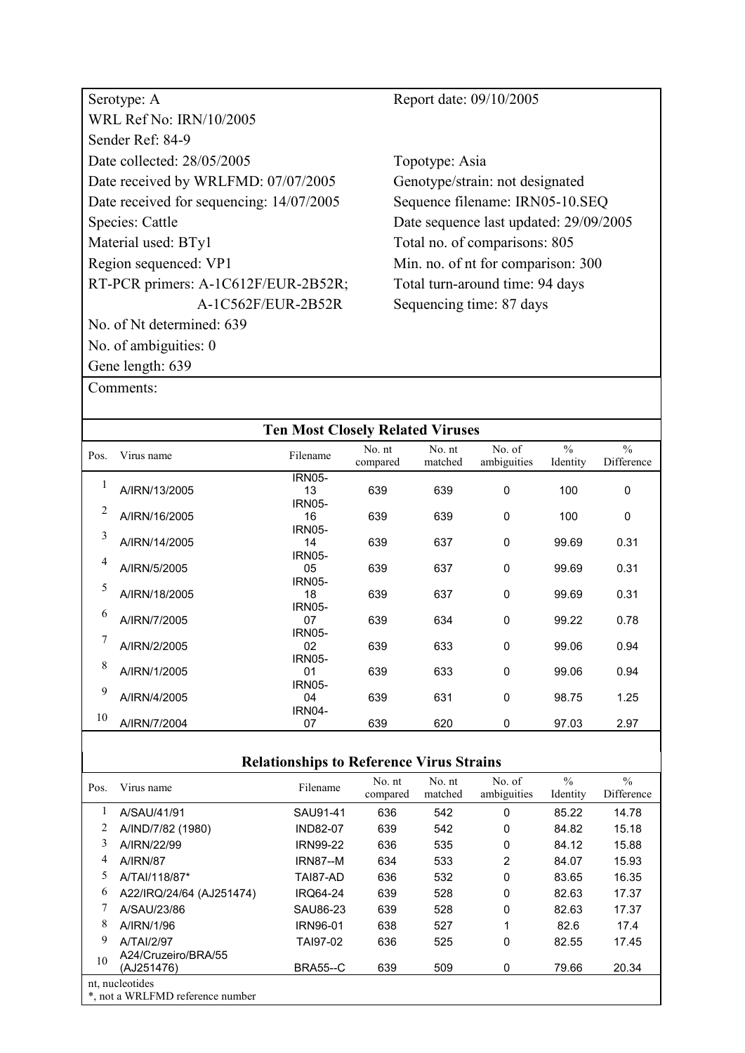| Serotype: A                              |
|------------------------------------------|
| WRL Ref No: IRN/10/2005                  |
| Sender Ref <sup>.</sup> 84-9             |
| Date collected: 28/05/2005               |
| Date received by WRLFMD: 07/07/2005      |
| Date received for sequencing: 14/07/2005 |
| Species: Cattle                          |
| Material used: BTy1                      |
| Region sequenced: VP1                    |
| RT-PCR primers: A-1C612F/EUR-2B52R;      |
| A-1C562F/EUR-2B52R                       |
| No. of Nt determined: 639                |
| No. of ambiguities: 0                    |
| Gene length: 639                         |

Report date: 09/10/2005

Topotype: Asia Genotype/strain: not designated Sequence filename: IRN05-10.SEQ Date sequence last updated: 29/09/2005 Total no. of comparisons: 805 Min. no. of nt for comparison: 300 Total turn-around time: 94 days Sequencing time: 87 days

| Comments: |
|-----------|
|-----------|

|      |               | <b>Ten Most Closely Related Viruses</b> |                    |                   |                       |                           |                             |
|------|---------------|-----------------------------------------|--------------------|-------------------|-----------------------|---------------------------|-----------------------------|
| Pos. | Virus name    | Filename                                | No. nt<br>compared | No. nt<br>matched | No. of<br>ambiguities | $\frac{0}{0}$<br>Identity | $\frac{0}{0}$<br>Difference |
|      |               | <b>IRN05-</b>                           |                    |                   |                       |                           |                             |
|      | A/IRN/13/2005 | 13<br><b>IRN05-</b>                     | 639                | 639               | $\mathbf 0$           | 100                       | $\mathbf 0$                 |
| 2    | A/IRN/16/2005 | 16                                      | 639                | 639               | $\mathbf 0$           | 100                       | 0                           |
| 3    |               | <b>IRN05-</b>                           |                    |                   |                       |                           |                             |
|      | A/IRN/14/2005 | 14<br><b>IRN05-</b>                     | 639                | 637               | 0                     | 99.69                     | 0.31                        |
| 4    | A/IRN/5/2005  | 05                                      | 639                | 637               | 0                     | 99.69                     | 0.31                        |
| 5    |               | <b>IRN05-</b>                           |                    |                   |                       |                           |                             |
|      | A/IRN/18/2005 | 18<br><b>IRN05-</b>                     | 639                | 637               | 0                     | 99.69                     | 0.31                        |
| 6    | A/IRN/7/2005  | 07                                      | 639                | 634               | 0                     | 99.22                     | 0.78                        |
| 7    |               | <b>IRN05-</b>                           |                    |                   |                       |                           |                             |
|      | A/IRN/2/2005  | 02<br><b>IRN05-</b>                     | 639                | 633               | $\mathbf 0$           | 99.06                     | 0.94                        |
| 8    | A/IRN/1/2005  | 01                                      | 639                | 633               | 0                     | 99.06                     | 0.94                        |
| 9    |               | <b>IRN05-</b><br>04                     |                    |                   | $\mathbf 0$           |                           |                             |
|      | A/IRN/4/2005  | <b>IRN04-</b>                           | 639                | 631               |                       | 98.75                     | 1.25                        |
| 10   | A/IRN/7/2004  | 07                                      | 639                | 620               | 0                     | 97.03                     | 2.97                        |

| Pos. | Virus name                        | Filename        | No. nt<br>compared | No. nt<br>matched | No. of<br>ambiguities | $\frac{0}{0}$<br>Identity | $\frac{0}{0}$<br>Difference |
|------|-----------------------------------|-----------------|--------------------|-------------------|-----------------------|---------------------------|-----------------------------|
|      | A/SAU/41/91                       | SAU91-41        | 636                | 542               | 0                     | 85.22                     | 14.78                       |
|      | A/IND/7/82 (1980)                 | <b>IND82-07</b> | 639                | 542               | 0                     | 84.82                     | 15.18                       |
| 3    | A/IRN/22/99                       | <b>IRN99-22</b> | 636                | 535               | 0                     | 84.12                     | 15.88                       |
| 4    | <b>A/IRN/87</b>                   | <b>IRN87--M</b> | 634                | 533               | $\overline{2}$        | 84.07                     | 15.93                       |
| 5    | A/TAI/118/87*                     | TAI87-AD        | 636                | 532               | 0                     | 83.65                     | 16.35                       |
| 6    | A22/IRQ/24/64 (AJ251474)          | <b>IRQ64-24</b> | 639                | 528               | 0                     | 82.63                     | 17.37                       |
|      | A/SAU/23/86                       | SAU86-23        | 639                | 528               | 0                     | 82.63                     | 17.37                       |
| 8    | A/IRN/1/96                        | <b>IRN96-01</b> | 638                | 527               |                       | 82.6                      | 17.4                        |
| 9    | <b>A/TAI/2/97</b>                 | TAI97-02        | 636                | 525               | 0                     | 82.55                     | 17.45                       |
| 10   | A24/Cruzeiro/BRA/55<br>(AJ251476) | <b>BRA55--C</b> | 639                | 509               | 0                     | 79.66                     | 20.34                       |
|      | nt, nucleotides                   |                 |                    |                   |                       |                           |                             |
|      | *, not a WRLFMD reference number  |                 |                    |                   |                       |                           |                             |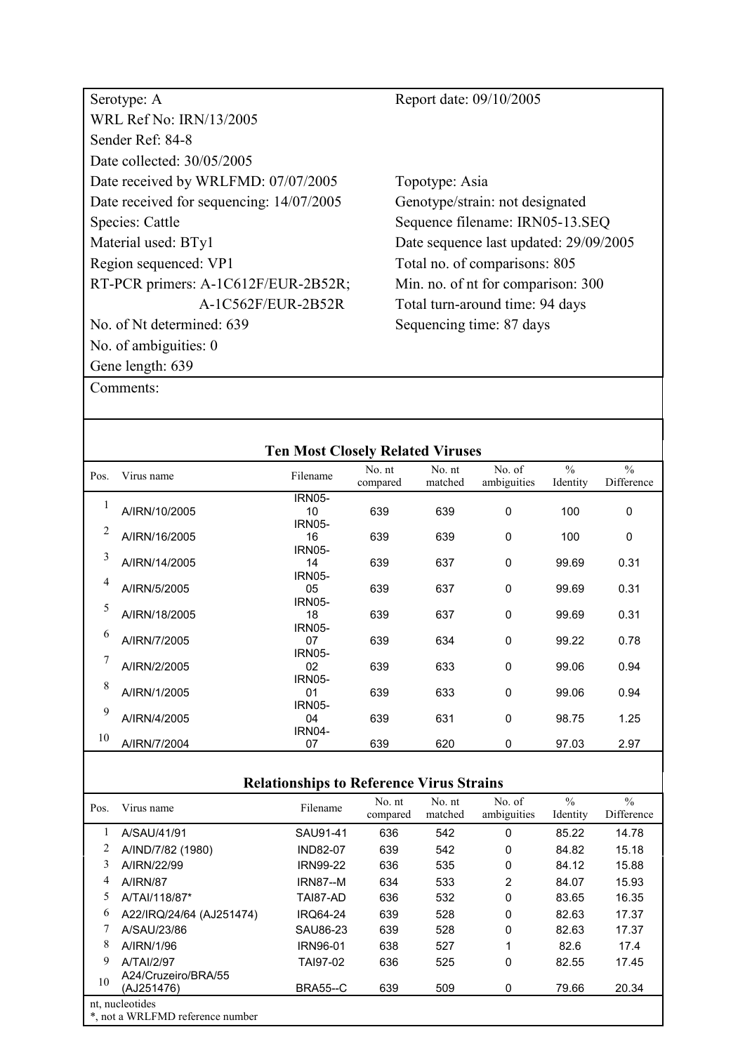| Serotype: A                              | Report date: 09/10/2005                |
|------------------------------------------|----------------------------------------|
| <b>WRL Ref No: IRN/13/2005</b>           |                                        |
| Sender Ref: 84-8                         |                                        |
| Date collected: 30/05/2005               |                                        |
| Date received by WRLFMD: 07/07/2005      | Topotype: Asia                         |
| Date received for sequencing: 14/07/2005 | Genotype/strain: not designated        |
| Species: Cattle                          | Sequence filename: IRN05-13.SEQ        |
| Material used: BTy1                      | Date sequence last updated: 29/09/2005 |
| Region sequenced: VP1                    | Total no. of comparisons: 805          |
| RT-PCR primers: A-1C612F/EUR-2B52R;      | Min. no. of nt for comparison: 300     |
| A-1C562F/EUR-2B52R                       | Total turn-around time: 94 days        |
| No. of Nt determined: 639                | Sequencing time: 87 days               |
| No. of ambiguities: 0                    |                                        |
| Gene length: 639                         |                                        |

|      |               | <b>Ten Most Closely Related Viruses</b> |                    |                   |                       |                           |                             |
|------|---------------|-----------------------------------------|--------------------|-------------------|-----------------------|---------------------------|-----------------------------|
| Pos. | Virus name    | Filename                                | No. nt<br>compared | No. nt<br>matched | No. of<br>ambiguities | $\frac{0}{0}$<br>Identity | $\frac{0}{0}$<br>Difference |
|      |               | <b>IRN05-</b>                           |                    |                   |                       |                           |                             |
| 1    | A/IRN/10/2005 | 10                                      | 639                | 639               | $\Omega$              | 100                       | 0                           |
| 2    |               | <b>IRN05-</b>                           |                    |                   |                       |                           |                             |
|      | A/IRN/16/2005 | 16                                      | 639                | 639               | $\Omega$              | 100                       | 0                           |
| 3    |               | <b>IRN05-</b>                           |                    |                   |                       |                           |                             |
|      | A/IRN/14/2005 | 14                                      | 639                | 637               | $\Omega$              | 99.69                     | 0.31                        |
| 4    |               | <b>IRN05-</b>                           |                    |                   |                       |                           |                             |
|      | A/IRN/5/2005  | 05                                      | 639                | 637               | $\mathbf 0$           | 99.69                     | 0.31                        |
| 5    |               | <b>IRN05-</b>                           |                    |                   |                       |                           |                             |
|      | A/IRN/18/2005 | 18                                      | 639                | 637               | $\Omega$              | 99.69                     | 0.31                        |
| 6    |               | <b>IRN05-</b>                           |                    |                   |                       |                           |                             |
|      | A/IRN/7/2005  | 07                                      | 639                | 634               | $\Omega$              | 99.22                     | 0.78                        |
| 7    |               | <b>IRN05-</b>                           |                    |                   |                       |                           |                             |
|      | A/IRN/2/2005  | 02                                      | 639                | 633               | $\Omega$              | 99.06                     | 0.94                        |
| 8    |               | <b>IRN05-</b>                           |                    |                   |                       |                           |                             |
|      | A/IRN/1/2005  | 01                                      | 639                | 633               | $\Omega$              | 99.06                     | 0.94                        |
| 9    |               | <b>IRN05-</b>                           |                    |                   |                       |                           |                             |
|      | A/IRN/4/2005  | 04                                      | 639                | 631               | $\mathbf 0$           | 98.75                     | 1.25                        |
| 10   |               | <b>IRN04-</b>                           |                    |                   |                       |                           |                             |
|      | A/IRN/7/2004  | 07                                      | 639                | 620               | $\mathbf{0}$          | 97.03                     | 2.97                        |
|      |               |                                         |                    |                   |                       |                           |                             |

| Pos. | Virus name                       | Filename        | No. nt<br>compared | No. nt<br>matched | No. of<br>ambiguities | $\frac{0}{0}$<br>Identity | $\frac{0}{0}$<br>Difference |
|------|----------------------------------|-----------------|--------------------|-------------------|-----------------------|---------------------------|-----------------------------|
|      | A/SAU/41/91                      | SAU91-41        | 636                | 542               | 0                     | 85.22                     | 14.78                       |
|      | A/IND/7/82 (1980)                | <b>IND82-07</b> | 639                | 542               | 0                     | 84.82                     | 15.18                       |
| 3    | A/IRN/22/99                      | <b>IRN99-22</b> | 636                | 535               | $\mathbf 0$           | 84.12                     | 15.88                       |
| 4    | <b>A/IRN/87</b>                  | <b>IRN87--M</b> | 634                | 533               | $\overline{2}$        | 84.07                     | 15.93                       |
| 5    | A/TAI/118/87*                    | TAI87-AD        | 636                | 532               | 0                     | 83.65                     | 16.35                       |
| 6    | A22/IRQ/24/64 (AJ251474)         | <b>IRO64-24</b> | 639                | 528               | 0                     | 82.63                     | 17.37                       |
|      | A/SAU/23/86                      | SAU86-23        | 639                | 528               | $\mathbf 0$           | 82.63                     | 17.37                       |
| 8    | A/IRN/1/96                       | <b>IRN96-01</b> | 638                | 527               | 1                     | 82.6                      | 17.4                        |
| 9    | A/TAI/2/97                       | TAI97-02        | 636                | 525               | 0                     | 82.55                     | 17.45                       |
| 10   | A24/Cruzeiro/BRA/55              |                 |                    |                   |                       |                           |                             |
|      | (AJ251476)                       | <b>BRA55--C</b> | 639                | 509               | 0                     | 79.66                     | 20.34                       |
|      | nt, nucleotides                  |                 |                    |                   |                       |                           |                             |
|      | *, not a WRLFMD reference number |                 |                    |                   |                       |                           |                             |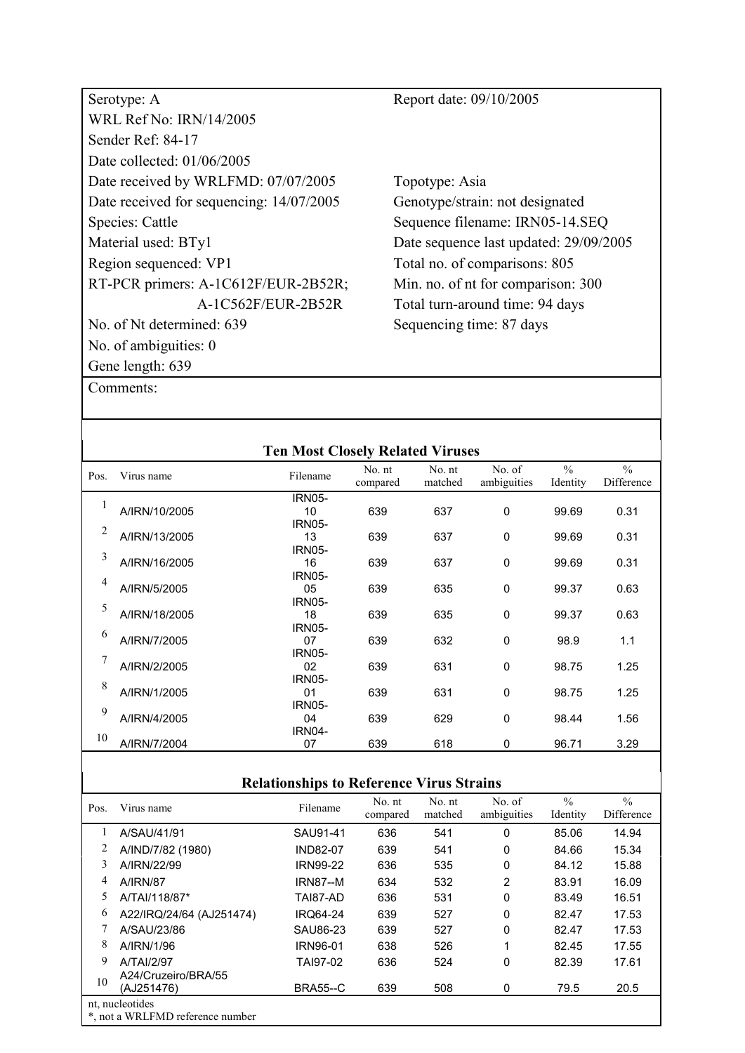| Serotype: A                              | Report date: 09/10/2005                |
|------------------------------------------|----------------------------------------|
| <b>WRL Ref No: IRN/14/2005</b>           |                                        |
| Sender Ref: 84-17                        |                                        |
| Date collected: 01/06/2005               |                                        |
| Date received by WRLFMD: 07/07/2005      | Topotype: Asia                         |
| Date received for sequencing: 14/07/2005 | Genotype/strain: not designated        |
| Species: Cattle                          | Sequence filename: IRN05-14.SEQ        |
| Material used: BTy1                      | Date sequence last updated: 29/09/2005 |
| Region sequenced: VP1                    | Total no. of comparisons: 805          |
| RT-PCR primers: A-1C612F/EUR-2B52R;      | Min. no. of nt for comparison: 300     |
| A-1C562F/EUR-2B52R                       | Total turn-around time: 94 days        |
| No. of Nt determined: 639                | Sequencing time: 87 days               |
| No. of ambiguities: $0$                  |                                        |
| Gene length: 639                         |                                        |

|      |               | <b>Ten Most Closely Related Viruses</b> |                    |                   |                       |                           |                             |
|------|---------------|-----------------------------------------|--------------------|-------------------|-----------------------|---------------------------|-----------------------------|
| Pos. | Virus name    | Filename                                | No. nt<br>compared | No. nt<br>matched | No. of<br>ambiguities | $\frac{0}{0}$<br>Identity | $\frac{0}{0}$<br>Difference |
|      |               | <b>IRN05-</b>                           |                    |                   |                       |                           |                             |
| 1    | A/IRN/10/2005 | 10                                      | 639                | 637               | $\mathbf 0$           | 99.69                     | 0.31                        |
|      |               | <b>IRN05-</b>                           |                    |                   |                       |                           |                             |
| 2    | A/IRN/13/2005 | 13                                      | 639                | 637               | 0                     | 99.69                     | 0.31                        |
|      |               | <b>IRN05-</b>                           |                    |                   |                       |                           |                             |
| 3    | A/IRN/16/2005 | 16                                      | 639                | 637               | 0                     | 99.69                     | 0.31                        |
|      |               | <b>IRN05-</b>                           |                    |                   |                       |                           |                             |
| 4    | A/IRN/5/2005  | 05                                      | 639                | 635               | 0                     | 99.37                     | 0.63                        |
|      |               | <b>IRN05-</b>                           |                    |                   |                       |                           |                             |
| 5    | A/IRN/18/2005 | 18                                      | 639                | 635               | 0                     | 99.37                     | 0.63                        |
|      |               | <b>IRN05-</b>                           |                    |                   |                       |                           |                             |
| 6    | A/IRN/7/2005  | 07                                      | 639                | 632               | 0                     | 98.9                      | 1.1                         |
|      |               | <b>IRN05-</b>                           |                    |                   |                       |                           |                             |
| 7    | A/IRN/2/2005  | 02                                      | 639                | 631               | $\Omega$              | 98.75                     | 1.25                        |
| 8    |               | <b>IRN05-</b>                           |                    |                   |                       |                           |                             |
|      | A/IRN/1/2005  | 01                                      | 639                | 631               | 0                     | 98.75                     | 1.25                        |
| 9    |               | <b>IRN05-</b>                           |                    |                   |                       |                           |                             |
|      | A/IRN/4/2005  | 04                                      | 639                | 629               | 0                     | 98.44                     | 1.56                        |
| 10   |               | <b>IRN04-</b>                           |                    |                   |                       |                           |                             |
|      | A/IRN/7/2004  | 07                                      | 639                | 618               | $\Omega$              | 96.71                     | 3.29                        |
|      |               |                                         |                    |                   |                       |                           |                             |

| <b>Relationships to Reference Virus Strains</b> |  |
|-------------------------------------------------|--|
|                                                 |  |

| Pos. | Virus name                                          | Filename        | No. nt<br>compared | No. nt<br>matched | No. of<br>ambiguities | $\frac{0}{0}$<br>Identity | $\frac{0}{0}$<br>Difference |
|------|-----------------------------------------------------|-----------------|--------------------|-------------------|-----------------------|---------------------------|-----------------------------|
|      | A/SAU/41/91                                         | SAU91-41        | 636                | 541               | 0                     | 85.06                     | 14.94                       |
| 2    | A/IND/7/82 (1980)                                   | <b>IND82-07</b> | 639                | 541               | $\Omega$              | 84.66                     | 15.34                       |
| 3    | A/IRN/22/99                                         | <b>IRN99-22</b> | 636                | 535               | 0                     | 84.12                     | 15.88                       |
| 4    | <b>A/IRN/87</b>                                     | <b>IRN87--M</b> | 634                | 532               | 2                     | 83.91                     | 16.09                       |
| 5    | A/TAI/118/87*                                       | TAI87-AD        | 636                | 531               | 0                     | 83.49                     | 16.51                       |
| 6    | A22/IRQ/24/64 (AJ251474)                            | <b>IRQ64-24</b> | 639                | 527               | 0                     | 82.47                     | 17.53                       |
|      | A/SAU/23/86                                         | SAU86-23        | 639                | 527               | 0                     | 82.47                     | 17.53                       |
| 8    | A/IRN/1/96                                          | <b>IRN96-01</b> | 638                | 526               |                       | 82.45                     | 17.55                       |
| 9    | A/TAI/2/97                                          | TAI97-02        | 636                | 524               | 0                     | 82.39                     | 17.61                       |
| 10   | A24/Cruzeiro/BRA/55<br>(AJ251476)                   | <b>BRA55--C</b> | 639                | 508               | 0                     | 79.5                      | 20.5                        |
|      | nt, nucleotides<br>*, not a WRLFMD reference number |                 |                    |                   |                       |                           |                             |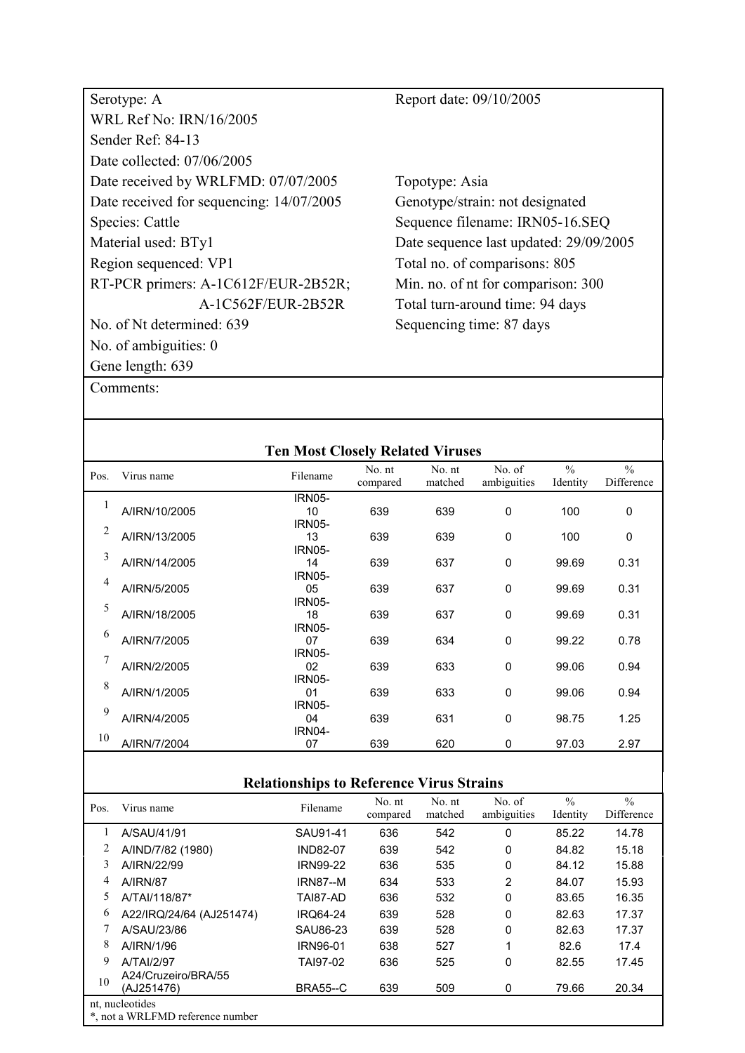| Serotype: A                              | Report date: 09/10/2005                |
|------------------------------------------|----------------------------------------|
| <b>WRL Ref No: IRN/16/2005</b>           |                                        |
| Sender Ref: 84-13                        |                                        |
| Date collected: 07/06/2005               |                                        |
| Date received by WRLFMD: 07/07/2005      | Topotype: Asia                         |
| Date received for sequencing: 14/07/2005 | Genotype/strain: not designated        |
| Species: Cattle                          | Sequence filename: IRN05-16.SEQ        |
| Material used: BTy1                      | Date sequence last updated: 29/09/2005 |
| Region sequenced: VP1                    | Total no. of comparisons: 805          |
| RT-PCR primers: A-1C612F/EUR-2B52R;      | Min. no. of nt for comparison: 300     |
| A-1C562F/EUR-2B52R                       | Total turn-around time: 94 days        |
| No. of Nt determined: 639                | Sequencing time: 87 days               |
| No. of ambiguities: $0$                  |                                        |
| Gene length: 639                         |                                        |

| $\frac{0}{0}$<br>No. of<br>No. nt<br>No. nt<br>Filename<br>Pos.<br>Virus name<br>ambiguities<br>matched<br>Identity<br>compared<br><b>IRN05-</b><br>1<br>$\mathbf 0$<br>A/IRN/10/2005<br>639<br>639<br>100<br>10<br><b>IRN05-</b><br>$\overline{2}$<br>A/IRN/13/2005<br>$\mathbf 0$<br>13<br>639<br>639<br>100<br><b>IRN05-</b><br>3<br>A/IRN/14/2005<br>639<br>$\mathbf 0$<br>14<br>637<br>99.69<br><b>IRN05-</b><br>$\overline{4}$<br>A/IRN/5/2005<br>05<br>639<br>637<br>$\mathbf 0$<br>99.69<br><b>IRN05-</b><br>5<br>A/IRN/18/2005<br>$\mathbf 0$<br>18<br>639<br>637<br>99.69<br><b>IRN05-</b> | $\frac{0}{0}$<br>Difference |
|------------------------------------------------------------------------------------------------------------------------------------------------------------------------------------------------------------------------------------------------------------------------------------------------------------------------------------------------------------------------------------------------------------------------------------------------------------------------------------------------------------------------------------------------------------------------------------------------------|-----------------------------|
|                                                                                                                                                                                                                                                                                                                                                                                                                                                                                                                                                                                                      |                             |
|                                                                                                                                                                                                                                                                                                                                                                                                                                                                                                                                                                                                      |                             |
|                                                                                                                                                                                                                                                                                                                                                                                                                                                                                                                                                                                                      | 0                           |
|                                                                                                                                                                                                                                                                                                                                                                                                                                                                                                                                                                                                      |                             |
|                                                                                                                                                                                                                                                                                                                                                                                                                                                                                                                                                                                                      | 0                           |
|                                                                                                                                                                                                                                                                                                                                                                                                                                                                                                                                                                                                      |                             |
|                                                                                                                                                                                                                                                                                                                                                                                                                                                                                                                                                                                                      | 0.31                        |
|                                                                                                                                                                                                                                                                                                                                                                                                                                                                                                                                                                                                      |                             |
|                                                                                                                                                                                                                                                                                                                                                                                                                                                                                                                                                                                                      | 0.31                        |
|                                                                                                                                                                                                                                                                                                                                                                                                                                                                                                                                                                                                      |                             |
|                                                                                                                                                                                                                                                                                                                                                                                                                                                                                                                                                                                                      | 0.31                        |
| 6                                                                                                                                                                                                                                                                                                                                                                                                                                                                                                                                                                                                    |                             |
| A/IRN/7/2005<br>0<br>07<br>639<br>634<br>99.22                                                                                                                                                                                                                                                                                                                                                                                                                                                                                                                                                       | 0.78                        |
| <b>IRN05-</b><br>7                                                                                                                                                                                                                                                                                                                                                                                                                                                                                                                                                                                   |                             |
| A/IRN/2/2005<br>0<br>639<br>633<br>02<br>99.06                                                                                                                                                                                                                                                                                                                                                                                                                                                                                                                                                       | 0.94                        |
| <b>IRN05-</b><br>8                                                                                                                                                                                                                                                                                                                                                                                                                                                                                                                                                                                   |                             |
| A/IRN/1/2005<br>0<br>639<br>633<br>01<br>99.06                                                                                                                                                                                                                                                                                                                                                                                                                                                                                                                                                       | 0.94                        |
| <b>IRN05-</b><br>9                                                                                                                                                                                                                                                                                                                                                                                                                                                                                                                                                                                   |                             |
| A/IRN/4/2005<br>639<br>631<br>0<br>04<br>98.75                                                                                                                                                                                                                                                                                                                                                                                                                                                                                                                                                       | 1.25                        |
| IRN04-<br>10                                                                                                                                                                                                                                                                                                                                                                                                                                                                                                                                                                                         |                             |
| A/IRN/7/2004<br>639<br>620<br>07<br>0<br>97.03                                                                                                                                                                                                                                                                                                                                                                                                                                                                                                                                                       | 2.97                        |

| Pos. | Virus name                                          | Filename        | No. nt<br>compared | No. nt<br>matched | No. of<br>ambiguities | $\frac{0}{0}$<br>Identity | $\frac{0}{0}$<br>Difference |
|------|-----------------------------------------------------|-----------------|--------------------|-------------------|-----------------------|---------------------------|-----------------------------|
|      | A/SAU/41/91                                         | SAU91-41        | 636                | 542               | $\Omega$              | 85.22                     | 14.78                       |
|      | A/IND/7/82 (1980)                                   | <b>IND82-07</b> | 639                | 542               | 0                     | 84.82                     | 15.18                       |
| 3    | A/IRN/22/99                                         | <b>IRN99-22</b> | 636                | 535               | 0                     | 84.12                     | 15.88                       |
| 4    | <b>A/IRN/87</b>                                     | <b>IRN87--M</b> | 634                | 533               | 2                     | 84.07                     | 15.93                       |
| 5.   | A/TAI/118/87*                                       | TAI87-AD        | 636                | 532               | 0                     | 83.65                     | 16.35                       |
| 6    | A22/IRQ/24/64 (AJ251474)                            | <b>IRQ64-24</b> | 639                | 528               | 0                     | 82.63                     | 17.37                       |
|      | A/SAU/23/86                                         | SAU86-23        | 639                | 528               | 0                     | 82.63                     | 17.37                       |
| 8    | A/IRN/1/96                                          | IRN96-01        | 638                | 527               | 1                     | 82.6                      | 17.4                        |
| 9    | A/TAI/2/97                                          | TAI97-02        | 636                | 525               | 0                     | 82.55                     | 17.45                       |
| 10   | A24/Cruzeiro/BRA/55<br>(AJ251476)                   | <b>BRA55--C</b> | 639                | 509               | 0                     | 79.66                     | 20.34                       |
|      | nt, nucleotides<br>*, not a WRLFMD reference number |                 |                    |                   |                       |                           |                             |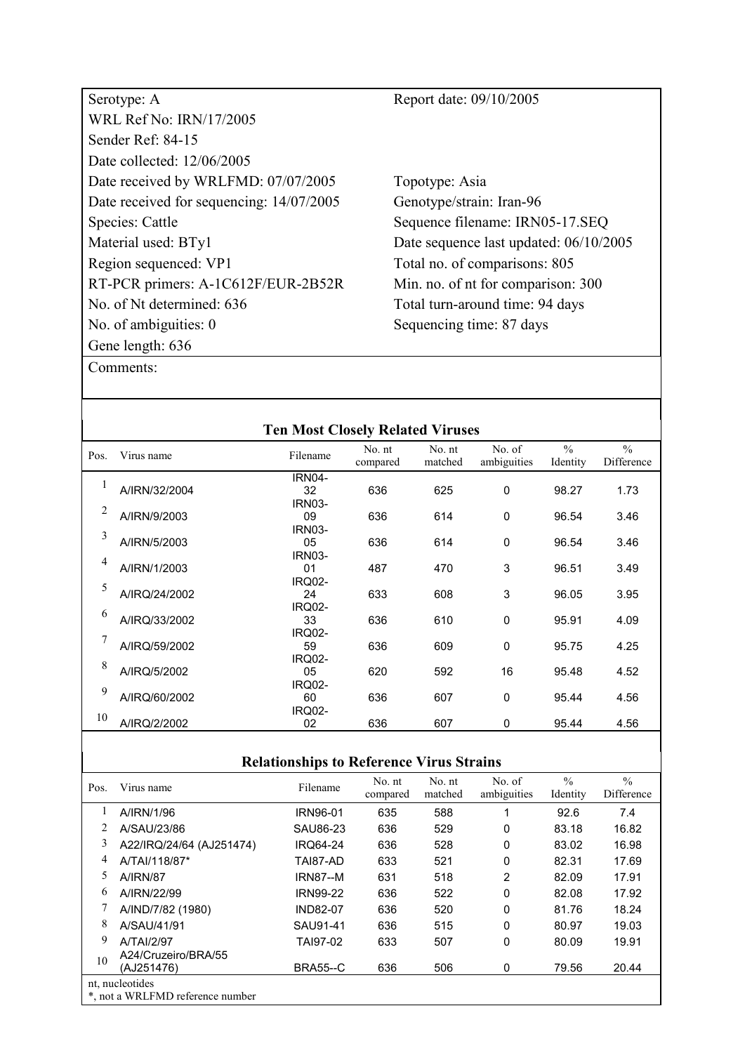| Serotype: A                              | Report date: 09/10/2005                |
|------------------------------------------|----------------------------------------|
| <b>WRL Ref No: IRN/17/2005</b>           |                                        |
| Sender Ref: 84-15                        |                                        |
| Date collected: 12/06/2005               |                                        |
| Date received by WRLFMD: 07/07/2005      | Topotype: Asia                         |
| Date received for sequencing: 14/07/2005 | Genotype/strain: Iran-96               |
| Species: Cattle                          | Sequence filename: IRN05-17.SEQ        |
| Material used: BTy1                      | Date sequence last updated: 06/10/2005 |
| Region sequenced: VP1                    | Total no. of comparisons: 805          |
| RT-PCR primers: A-1C612F/EUR-2B52R       | Min. no. of nt for comparison: 300     |
| No. of Nt determined: 636                | Total turn-around time: 94 days        |
| No. of ambiguities: $0$                  | Sequencing time: 87 days               |
| Gene length: 636                         |                                        |
| Comments:                                |                                        |

|      |               | <b>Ten Most Closely Related Viruses</b> |                    |                   |                       |                           |                             |
|------|---------------|-----------------------------------------|--------------------|-------------------|-----------------------|---------------------------|-----------------------------|
| Pos. | Virus name    | Filename                                | No. nt<br>compared | No. nt<br>matched | No. of<br>ambiguities | $\frac{0}{0}$<br>Identity | $\frac{0}{0}$<br>Difference |
|      |               | <b>IRN04-</b>                           |                    |                   |                       |                           |                             |
| 1    | A/IRN/32/2004 | 32                                      | 636                | 625               | $\Omega$              | 98.27                     | 1.73                        |
|      |               | <b>IRN03-</b>                           |                    |                   |                       |                           |                             |
| 2    | A/IRN/9/2003  | 09                                      | 636                | 614               | $\Omega$              | 96.54                     | 3.46                        |
|      |               | <b>IRN03-</b>                           |                    |                   |                       |                           |                             |
| 3    | A/IRN/5/2003  | 05                                      | 636                | 614               | $\Omega$              | 96.54                     | 3.46                        |
|      |               | <b>IRN03-</b>                           |                    |                   |                       |                           |                             |
| 4    | A/IRN/1/2003  | 01                                      | 487                | 470               | 3                     | 96.51                     | 3.49                        |
|      |               | <b>IRQ02-</b>                           |                    |                   |                       |                           |                             |
| 5    | A/IRQ/24/2002 | 24                                      | 633                | 608               | 3                     | 96.05                     | 3.95                        |
|      |               | <b>IRQ02-</b>                           |                    |                   |                       |                           |                             |
| 6    | A/IRQ/33/2002 | 33                                      | 636                | 610               | $\mathbf 0$           | 95.91                     | 4.09                        |
| 7    |               | <b>IRQ02-</b>                           |                    |                   |                       |                           |                             |
|      | A/IRQ/59/2002 | 59                                      | 636                | 609               | $\mathbf 0$           | 95.75                     | 4.25                        |
| 8    |               | <b>IRQ02-</b>                           |                    |                   |                       |                           |                             |
|      | A/IRQ/5/2002  | 05                                      | 620                | 592               | 16                    | 95.48                     | 4.52                        |
| 9    |               | <b>IRQ02-</b>                           |                    |                   |                       |                           |                             |
|      | A/IRQ/60/2002 | 60                                      | 636                | 607               | $\mathbf 0$           | 95.44                     | 4.56                        |
| 10   |               | <b>IRQ02-</b>                           |                    |                   |                       |                           |                             |
|      | A/IRQ/2/2002  | 02                                      | 636                | 607               | 0                     | 95.44                     | 4.56                        |

| Pos. | Virus name                        | Filename        | No. nt<br>compared | No. nt<br>matched | No. of<br>ambiguities | $\frac{0}{0}$<br>Identity | $\frac{0}{0}$<br>Difference |
|------|-----------------------------------|-----------------|--------------------|-------------------|-----------------------|---------------------------|-----------------------------|
|      | A/IRN/1/96                        | <b>IRN96-01</b> | 635                | 588               |                       | 92.6                      | 7.4                         |
|      | A/SAU/23/86                       | SAU86-23        | 636                | 529               | 0                     | 83.18                     | 16.82                       |
| 3    | A22/IRQ/24/64 (AJ251474)          | <b>IRQ64-24</b> | 636                | 528               | 0                     | 83.02                     | 16.98                       |
| 4    | A/TAI/118/87*                     | TAI87-AD        | 633                | 521               | $\Omega$              | 82.31                     | 17.69                       |
| 5    | <b>A/IRN/87</b>                   | <b>IRN87--M</b> | 631                | 518               | 2                     | 82.09                     | 17.91                       |
| 6    | A/IRN/22/99                       | <b>IRN99-22</b> | 636                | 522               | 0                     | 82.08                     | 17.92                       |
|      | A/IND/7/82 (1980)                 | <b>IND82-07</b> | 636                | 520               | $\Omega$              | 81.76                     | 18.24                       |
| 8    | A/SAU/41/91                       | SAU91-41        | 636                | 515               | $\Omega$              | 80.97                     | 19.03                       |
| 9    | A/TAI/2/97                        | TAI97-02        | 633                | 507               | $\Omega$              | 80.09                     | 19.91                       |
| 10   | A24/Cruzeiro/BRA/55<br>(AJ251476) | <b>BRA55--C</b> | 636                | 506               | 0                     | 79.56                     | 20.44                       |
|      | nt, nucleotides                   |                 |                    |                   |                       |                           |                             |
|      | *, not a WRLFMD reference number  |                 |                    |                   |                       |                           |                             |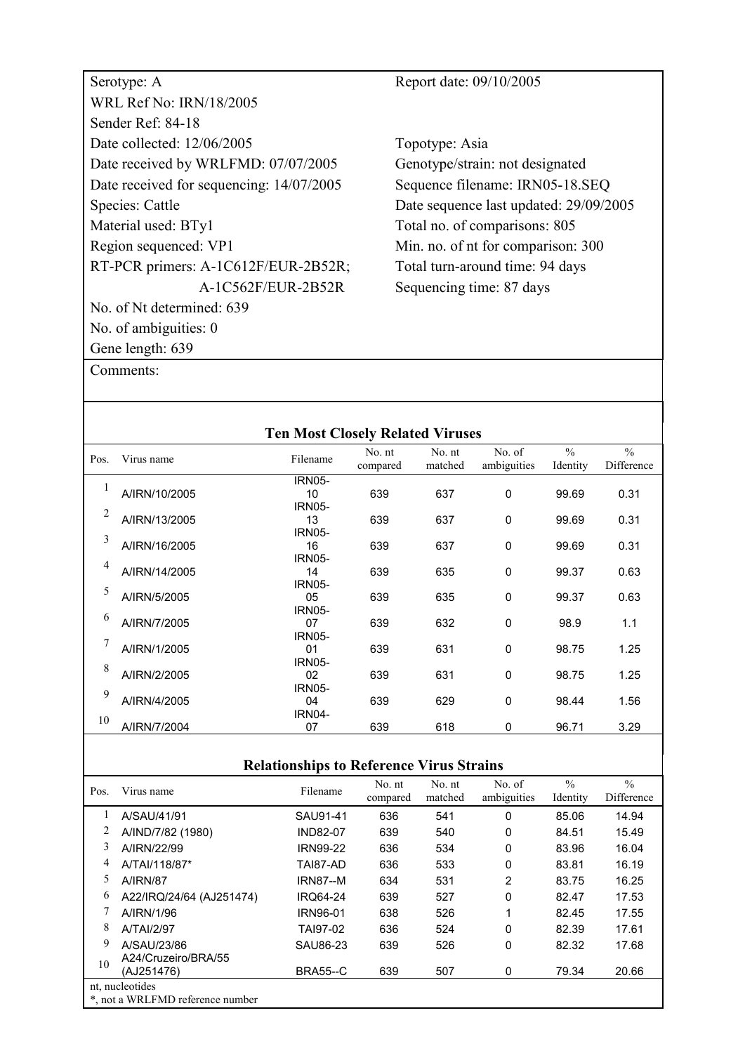| Serotype: A                              | Report date: 09/10/2005   |
|------------------------------------------|---------------------------|
| <b>WRL Ref No: IRN/18/2005</b>           |                           |
| Sender Ref: 84-18                        |                           |
| Date collected: 12/06/2005               | Topotype: Asia            |
| Date received by WRLFMD: 07/07/2005      | Genotype/strain: not desi |
| Date received for sequencing: 14/07/2005 | Sequence filename: IRN0   |
| Species: Cattle                          | Date sequence last update |
| Material used: BTy1                      | Total no. of comparisons  |
| Region sequenced: VP1                    | Min. no. of nt for compar |
| RT-PCR primers: A-1C612F/EUR-2B52R;      | Total turn-around time: 9 |
| A-1C562F/EUR-2B52R                       | Sequencing time: 87 days  |
| No. of Nt determined: 639                |                           |
| No. of ambiguities: 0                    |                           |
| Gene length: 639                         |                           |

sia rain: not designated ename: IRN05-18.SEQ ce last updated: 29/09/2005 comparisons: 805 nt for comparison: 300 round time: 94 days time: 87 days

|        |               | <b>Ten Most Closely Related Viruses</b> |                    |                   |                       |                           |                             |
|--------|---------------|-----------------------------------------|--------------------|-------------------|-----------------------|---------------------------|-----------------------------|
| Pos.   | Virus name    | Filename                                | No. nt<br>compared | No. nt<br>matched | No. of<br>ambiguities | $\frac{0}{0}$<br>Identity | $\frac{0}{0}$<br>Difference |
|        |               | <b>IRN05-</b>                           |                    |                   |                       |                           |                             |
| 1      | A/IRN/10/2005 | 10                                      | 639                | 637               | $\Omega$              | 99.69                     | 0.31                        |
| 2      |               | <b>IRN05-</b>                           |                    |                   |                       |                           |                             |
|        | A/IRN/13/2005 | 13                                      | 639                | 637               | $\mathbf{0}$          | 99.69                     | 0.31                        |
| 3      |               | <b>IRN05-</b>                           |                    |                   |                       |                           |                             |
|        | A/IRN/16/2005 | 16                                      | 639                | 637               | $\mathbf{0}$          | 99.69                     | 0.31                        |
| 4      |               | <b>IRN05-</b>                           |                    |                   |                       |                           |                             |
|        | A/IRN/14/2005 | 14                                      | 639                | 635               | $\mathbf{0}$          | 99.37                     | 0.63                        |
| 5      |               | <b>IRN05-</b>                           |                    |                   |                       |                           |                             |
|        | A/IRN/5/2005  | 05                                      | 639                | 635               | $\mathbf{0}$          | 99.37                     | 0.63                        |
| 6      |               | <b>IRN05-</b>                           |                    |                   |                       |                           |                             |
|        | A/IRN/7/2005  | 07                                      | 639                | 632               | $\mathbf{0}$          | 98.9                      | 1.1                         |
| $\tau$ |               | <b>IRN05-</b>                           |                    |                   |                       |                           |                             |
|        | A/IRN/1/2005  | 01                                      | 639                | 631               | $\mathbf{0}$          | 98.75                     | 1.25                        |
| 8      |               | <b>IRN05-</b>                           |                    |                   |                       |                           |                             |
|        | A/IRN/2/2005  | 02                                      | 639                | 631               | $\mathbf{0}$          | 98.75                     | 1.25                        |
| 9      |               | <b>IRN05-</b>                           |                    |                   |                       |                           |                             |
|        | A/IRN/4/2005  | 04                                      | 639                | 629               | $\mathbf{0}$          | 98.44                     | 1.56                        |
| 10     |               | <b>IRN04-</b>                           |                    |                   |                       |                           |                             |
|        | A/IRN/7/2004  | 07                                      | 639                | 618               | 0                     | 96.71                     | 3.29                        |

| <b>Relationships to Reference Virus Strains</b>     |                                   |                 |                    |                   |                       |                           |                             |  |
|-----------------------------------------------------|-----------------------------------|-----------------|--------------------|-------------------|-----------------------|---------------------------|-----------------------------|--|
| Pos.                                                | Virus name                        | Filename        | No. nt<br>compared | No. nt<br>matched | No. of<br>ambiguities | $\frac{0}{0}$<br>Identity | $\frac{0}{0}$<br>Difference |  |
|                                                     | A/SAU/41/91                       | SAU91-41        | 636                | 541               | 0                     | 85.06                     | 14.94                       |  |
|                                                     | A/IND/7/82 (1980)                 | <b>IND82-07</b> | 639                | 540               | 0                     | 84.51                     | 15.49                       |  |
| 3                                                   | A/IRN/22/99                       | <b>IRN99-22</b> | 636                | 534               | 0                     | 83.96                     | 16.04                       |  |
| 4                                                   | A/TAI/118/87*                     | TAI87-AD        | 636                | 533               | 0                     | 83.81                     | 16.19                       |  |
| 5.                                                  | <b>A/IRN/87</b>                   | IRN87--M        | 634                | 531               | 2                     | 83.75                     | 16.25                       |  |
| 6                                                   | A22/IRQ/24/64 (AJ251474)          | <b>IRQ64-24</b> | 639                | 527               | 0                     | 82.47                     | 17.53                       |  |
|                                                     | A/IRN/1/96                        | <b>IRN96-01</b> | 638                | 526               | 1                     | 82.45                     | 17.55                       |  |
| 8                                                   | A/TAI/2/97                        | TAI97-02        | 636                | 524               | 0                     | 82.39                     | 17.61                       |  |
| 9                                                   | A/SAU/23/86                       | SAU86-23        | 639                | 526               | 0                     | 82.32                     | 17.68                       |  |
| 10                                                  | A24/Cruzeiro/BRA/55<br>(AJ251476) | <b>BRA55--C</b> | 639                | 507               | 0                     | 79.34                     | 20.66                       |  |
| nt, nucleotides<br>*, not a WRLFMD reference number |                                   |                 |                    |                   |                       |                           |                             |  |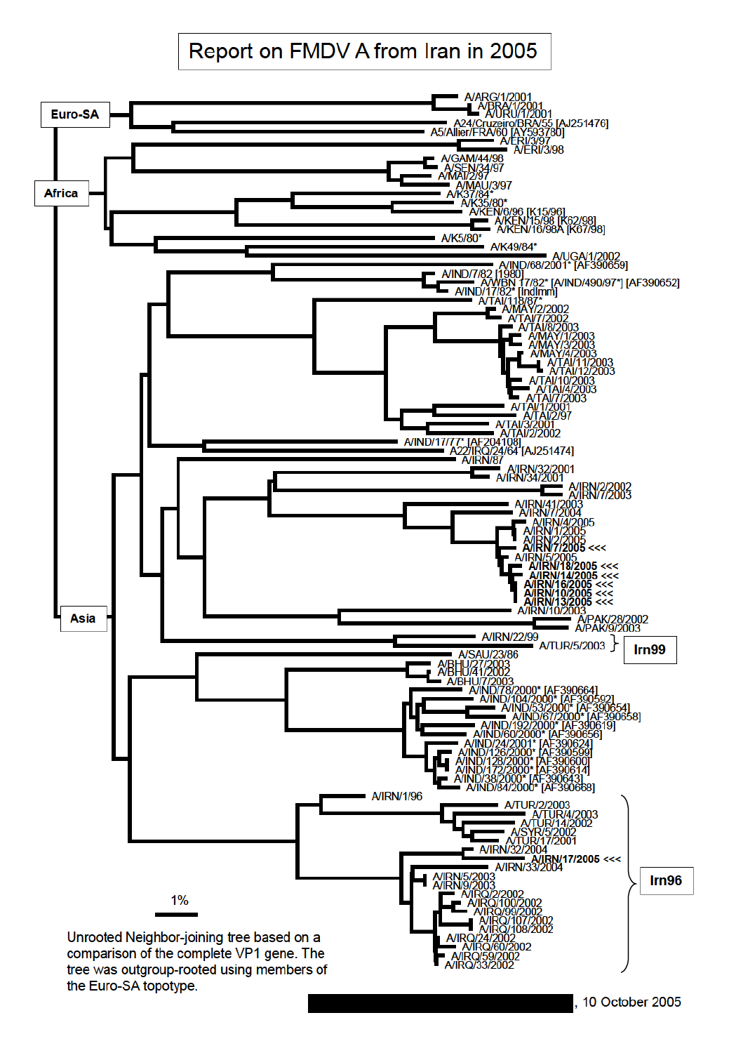# Report on FMDV A from Iran in 2005